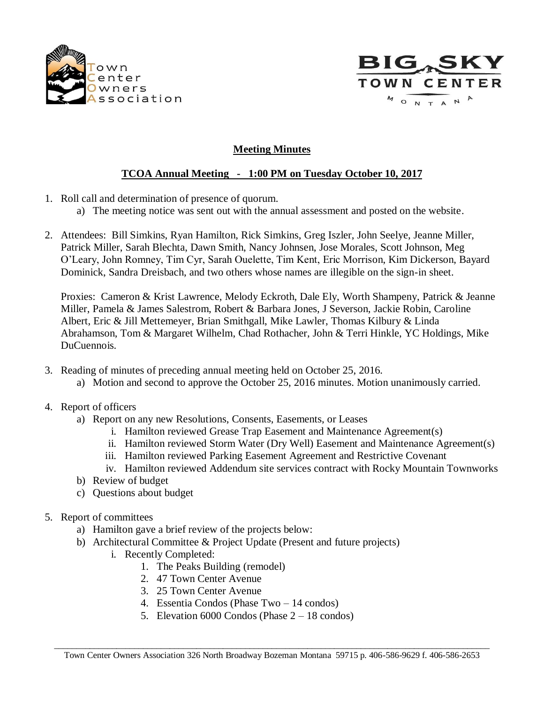



## **Meeting Minutes**

## **TCOA Annual Meeting - 1:00 PM on Tuesday October 10, 2017**

- 1. Roll call and determination of presence of quorum.
	- a) The meeting notice was sent out with the annual assessment and posted on the website.
- 2. Attendees: Bill Simkins, Ryan Hamilton, Rick Simkins, Greg Iszler, John Seelye, Jeanne Miller, Patrick Miller, Sarah Blechta, Dawn Smith, Nancy Johnsen, Jose Morales, Scott Johnson, Meg O'Leary, John Romney, Tim Cyr, Sarah Ouelette, Tim Kent, Eric Morrison, Kim Dickerson, Bayard Dominick, Sandra Dreisbach, and two others whose names are illegible on the sign-in sheet.

Proxies: Cameron & Krist Lawrence, Melody Eckroth, Dale Ely, Worth Shampeny, Patrick & Jeanne Miller, Pamela & James Salestrom, Robert & Barbara Jones, J Severson, Jackie Robin, Caroline Albert, Eric & Jill Mettemeyer, Brian Smithgall, Mike Lawler, Thomas Kilbury & Linda Abrahamson, Tom & Margaret Wilhelm, Chad Rothacher, John & Terri Hinkle, YC Holdings, Mike DuCuennois.

- 3. Reading of minutes of preceding annual meeting held on October 25, 2016.
	- a) Motion and second to approve the October 25, 2016 minutes. Motion unanimously carried.
- 4. Report of officers
	- a) Report on any new Resolutions, Consents, Easements, or Leases
		- i. Hamilton reviewed Grease Trap Easement and Maintenance Agreement(s)
		- ii. Hamilton reviewed Storm Water (Dry Well) Easement and Maintenance Agreement(s)
		- iii. Hamilton reviewed Parking Easement Agreement and Restrictive Covenant
		- iv. Hamilton reviewed Addendum site services contract with Rocky Mountain Townworks
	- b) Review of budget
	- c) Questions about budget
- 5. Report of committees
	- a) Hamilton gave a brief review of the projects below:
	- b) Architectural Committee & Project Update (Present and future projects)
		- i. Recently Completed:
			- 1. The Peaks Building (remodel)
			- 2. 47 Town Center Avenue
			- 3. 25 Town Center Avenue
			- 4. Essentia Condos (Phase Two 14 condos)
			- 5. Elevation 6000 Condos (Phase 2 18 condos)